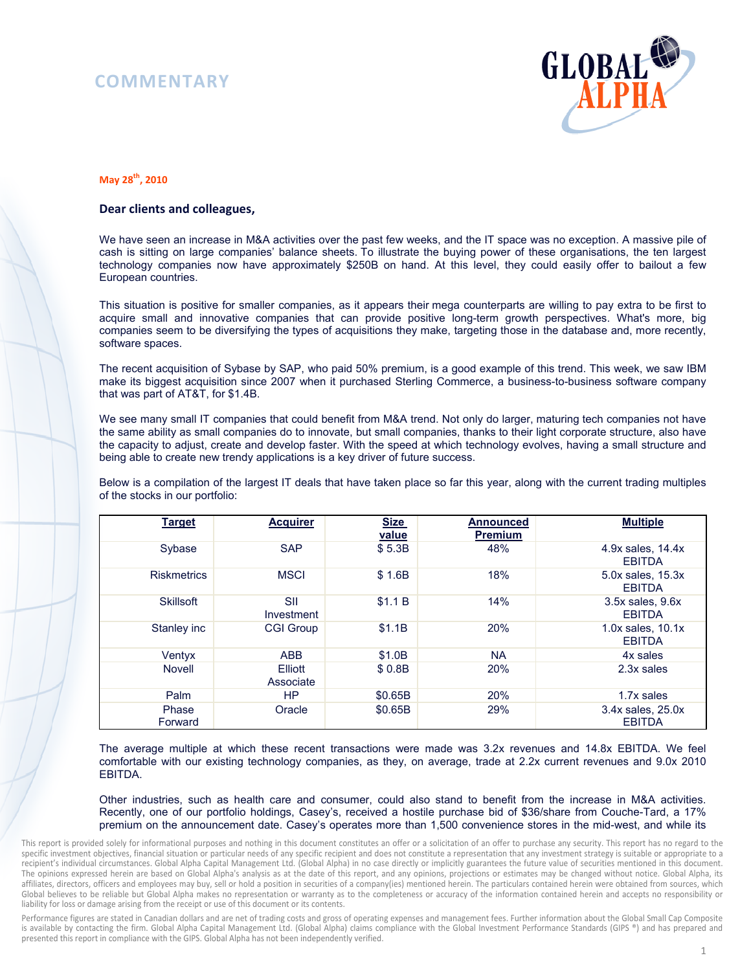## **COMMENTARY**



## **May 28th, 2010**

## **Dear clients and colleagues,**

We have seen an increase in M&A activities over the past few weeks, and the IT space was no exception. A massive pile of cash is sitting on large companies' balance sheets. To illustrate the buying power of these organisations, the ten largest technology companies now have approximately \$250B on hand. At this level, they could easily offer to bailout a few European countries.

This situation is positive for smaller companies, as it appears their mega counterparts are willing to pay extra to be first to acquire small and innovative companies that can provide positive long-term growth perspectives. What's more, big companies seem to be diversifying the types of acquisitions they make, targeting those in the database and, more recently, software spaces.

The recent acquisition of Sybase by SAP, who paid 50% premium, is a good example of this trend. This week, we saw IBM make its biggest acquisition since 2007 when it purchased Sterling Commerce, a business-to-business software company that was part of AT&T, for \$1.4B.

We see many small IT companies that could benefit from M&A trend. Not only do larger, maturing tech companies not have the same ability as small companies do to innovate, but small companies, thanks to their light corporate structure, also have the capacity to adjust, create and develop faster. With the speed at which technology evolves, having a small structure and being able to create new trendy applications is a key driver of future success.

Below is a compilation of the largest IT deals that have taken place so far this year, along with the current trading multiples of the stocks in our portfolio:

| <b>Target</b>      | <b>Acquirer</b>      | <b>Size</b><br>value | <b>Announced</b><br><b>Premium</b> | <b>Multiple</b>                        |
|--------------------|----------------------|----------------------|------------------------------------|----------------------------------------|
| Sybase             | <b>SAP</b>           | \$5.3B               | 48%                                | 4.9x sales, 14.4x<br><b>EBITDA</b>     |
| <b>Riskmetrics</b> | <b>MSCI</b>          | \$1.6B               | 18%                                | 5.0x sales, 15.3x<br><b>EBITDA</b>     |
| Skillsoft          | SII<br>Investment    | \$1.1 B              | 14%                                | 3.5x sales, 9.6x<br><b>EBITDA</b>      |
| Stanley inc        | <b>CGI Group</b>     | \$1.1B               | 20%                                | $1.0x$ sales, $10.1x$<br><b>EBITDA</b> |
| Ventyx             | <b>ABB</b>           | \$1.0B               | <b>NA</b>                          | 4x sales                               |
| Novell             | Elliott<br>Associate | \$0.8B               | 20%                                | 2.3x sales                             |
| Palm               | <b>HP</b>            | \$0.65B              | 20%                                | 1.7x sales                             |
| Phase<br>Forward   | Oracle               | \$0.65B              | 29%                                | 3.4x sales, 25.0x<br><b>EBITDA</b>     |

The average multiple at which these recent transactions were made was 3.2x revenues and 14.8x EBITDA. We feel comfortable with our existing technology companies, as they, on average, trade at 2.2x current revenues and 9.0x 2010 EBITDA.

Other industries, such as health care and consumer, could also stand to benefit from the increase in M&A activities. Recently, one of our portfolio holdings, Casey's, received a hostile purchase bid of \$36/share from Couche-Tard, a 17% premium on the announcement date. Casey's operates more than 1,500 convenience stores in the mid-west, and while its

This report is provided solely for informational purposes and nothing in this document constitutes an offer or a solicitation of an offer to purchase any security. This report has no regard to the specific investment objectives, financial situation or particular needs of any specific recipient and does not constitute a representation that any investment strategy is suitable or appropriate to a recipient's individual circumstances. Global Alpha Capital Management Ltd. (Global Alpha) in no case directly or implicitly guarantees the future value of securities mentioned in this document. The opinions expressed herein are based on Global Alpha's analysis as at the date of this report, and any opinions, projections or estimates may be changed without notice. Global Alpha, its affiliates, directors, officers and employees may buy, sell or hold a position in securities of a company(ies) mentioned herein. The particulars contained herein were obtained from sources, which Global believes to be reliable but Global Alpha makes no representation or warranty as to the completeness or accuracy of the information contained herein and accepts no responsibility or liability for loss or damage arising from the receipt or use of this document or its contents.

Performance figures are stated in Canadian dollars and are net of trading costs and gross of operating expenses and management fees. Further information about the Global Small Cap Composite is available by contacting the firm. Global Alpha Capital Management Ltd. (Global Alpha) claims compliance with the Global Investment Performance Standards (GIPS ®) and has prepared and presented this report in compliance with the GIPS. Global Alpha has not been independently verified.